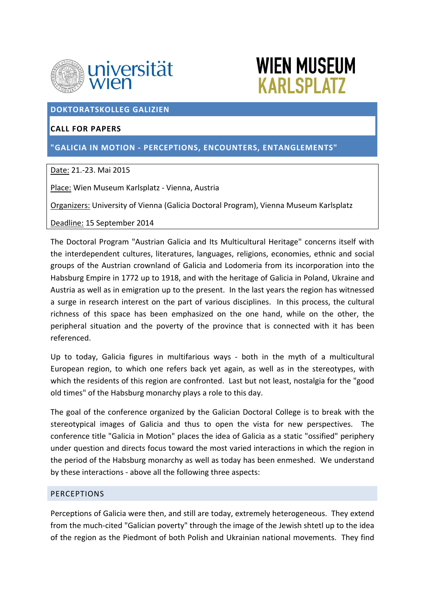



### **DOKTORATSKOLLEG GALIZIEN**

# **CALL FOR PAPERS**

**"GALICIA IN MOTION ‐ PERCEPTIONS, ENCOUNTERS, ENTANGLEMENTS"**

## Date: 21.‐23. Mai 2015

Place: Wien Museum Karlsplatz ‐ Vienna, Austria

Organizers: University of Vienna (Galicia Doctoral Program), Vienna Museum Karlsplatz

Deadline: 15 September 2014

The Doctoral Program "Austrian Galicia and Its Multicultural Heritage" concerns itself with the interdependent cultures, literatures, languages, religions, economies, ethnic and social groups of the Austrian crownland of Galicia and Lodomeria from its incorporation into the Habsburg Empire in 1772 up to 1918, and with the heritage of Galicia in Poland, Ukraine and Austria as well as in emigration up to the present. In the last years the region has witnessed a surge in research interest on the part of various disciplines. In this process, the cultural richness of this space has been emphasized on the one hand, while on the other, the peripheral situation and the poverty of the province that is connected with it has been referenced.

Up to today, Galicia figures in multifarious ways - both in the myth of a multicultural European region, to which one refers back yet again, as well as in the stereotypes, with which the residents of this region are confronted. Last but not least, nostalgia for the "good old times" of the Habsburg monarchy plays a role to this day.

The goal of the conference organized by the Galician Doctoral College is to break with the stereotypical images of Galicia and thus to open the vista for new perspectives. The conference title "Galicia in Motion" places the idea of Galicia as a static "ossified" periphery under question and directs focus toward the most varied interactions in which the region in the period of the Habsburg monarchy as well as today has been enmeshed. We understand by these interactions ‐ above all the following three aspects:

#### **PERCEPTIONS**

Perceptions of Galicia were then, and still are today, extremely heterogeneous. They extend from the much-cited "Galician poverty" through the image of the Jewish shtetl up to the idea of the region as the Piedmont of both Polish and Ukrainian national movements. They find